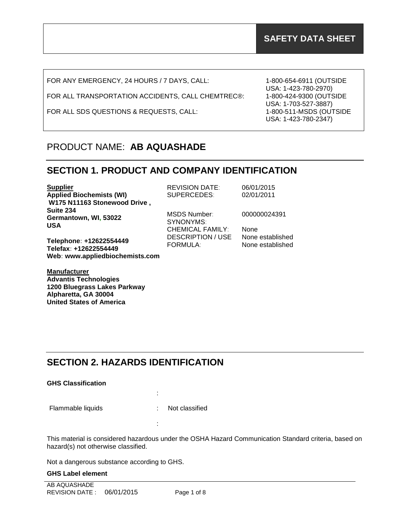FOR ANY EMERGENCY, 24 HOURS / 7 DAYS, CALL:

FOR ALL TRANSPORTATION ACCIDENTS, CALL CHEMTREC®:

FOR ALL SDS QUESTIONS & REQUESTS, CALL:

1-800-654-6911 (OUTSIDE USA: 1-423-780-2970) 1-800-424-9300 (OUTSIDE USA: 1-703-527-3887) 1-800-511-MSDS (OUTSIDE USA: 1-423-780-2347)

# PRODUCT NAME: **AB AQUASHADE**

### **SECTION 1. PRODUCT AND COMPANY IDENTIFICATION**

| <b>Supplier</b><br><b>Applied Biochemists (WI)</b><br>W175 N11163 Stonewood Drive,  | <b>REVISION DATE:</b><br>SUPERCEDES:                        | 06/01/2015<br>02/01/2011             |
|-------------------------------------------------------------------------------------|-------------------------------------------------------------|--------------------------------------|
| Suite 234<br>Germantown, WI, 53022<br><b>USA</b>                                    | <b>MSDS Number:</b><br>SYNONYMS:<br><b>CHEMICAL FAMILY:</b> | 000000024391<br>None                 |
| Telephone: +12622554449<br>Telefax: +12622554449<br>Web: www.appliedbiochemists.com | <b>DESCRIPTION / USE</b><br><b>FORMULA:</b>                 | None established<br>None established |

**Manufacturer Advantis Technologies 1200 Bluegrass Lakes Parkway Alpharetta, GA 30004 United States of America**

# **SECTION 2. HAZARDS IDENTIFICATION**

:

:

#### **GHS Classification**

Flammable liquids : Not classified

This material is considered hazardous under the OSHA Hazard Communication Standard criteria, based on hazard(s) not otherwise classified.

Not a dangerous substance according to GHS.

#### **GHS Label element**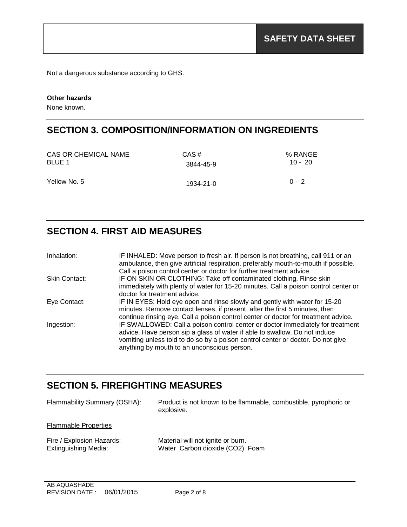Not a dangerous substance according to GHS.

#### **Other hazards**

None known.

# **SECTION 3. COMPOSITION/INFORMATION ON INGREDIENTS**

| CAS OR CHEMICAL NAME | CAS#      | % RANGE   |
|----------------------|-----------|-----------|
| BLUE 1               | 3844-45-9 | $10 - 20$ |
| Yellow No. 5         | 1934-21-0 | $0 - 2$   |

### **SECTION 4. FIRST AID MEASURES**

| Inhalation:   | IF INHALED: Move person to fresh air. If person is not breathing, call 911 or an<br>ambulance, then give artificial respiration, preferably mouth-to-mouth if possible.                                                                                                                                                                                                            |
|---------------|------------------------------------------------------------------------------------------------------------------------------------------------------------------------------------------------------------------------------------------------------------------------------------------------------------------------------------------------------------------------------------|
| Skin Contact: | IF ON SKIN OR CLOTHING: Take off contaminated clothing. Rinse skin                                                                                                                                                                                                                                                                                                                 |
|               | doctor for treatment advice.                                                                                                                                                                                                                                                                                                                                                       |
| Eye Contact:  | IF IN EYES: Hold eye open and rinse slowly and gently with water for 15-20                                                                                                                                                                                                                                                                                                         |
|               | minutes. Remove contact lenses, if present, after the first 5 minutes, then                                                                                                                                                                                                                                                                                                        |
|               |                                                                                                                                                                                                                                                                                                                                                                                    |
|               | advice. Have person sip a glass of water if able to swallow. Do not induce<br>vomiting unless told to do so by a poison control center or doctor. Do not give                                                                                                                                                                                                                      |
| Ingestion:    | Call a poison control center or doctor for further treatment advice.<br>immediately with plenty of water for 15-20 minutes. Call a poison control center or<br>continue rinsing eye. Call a poison control center or doctor for treatment advice.<br>IF SWALLOWED: Call a poison control center or doctor immediately for treatment<br>anything by mouth to an unconscious person. |

### **SECTION 5. FIREFIGHTING MEASURES**

| Flammability Summary (OSHA):                             | Product is not known to be flammable, combustible, pyrophoric or<br>explosive. |
|----------------------------------------------------------|--------------------------------------------------------------------------------|
| <b>Flammable Properties</b>                              |                                                                                |
| Fire / Explosion Hazards:<br><b>Extinguishing Media:</b> | Material will not ignite or burn.<br>Water Carbon dioxide (CO2) Foam           |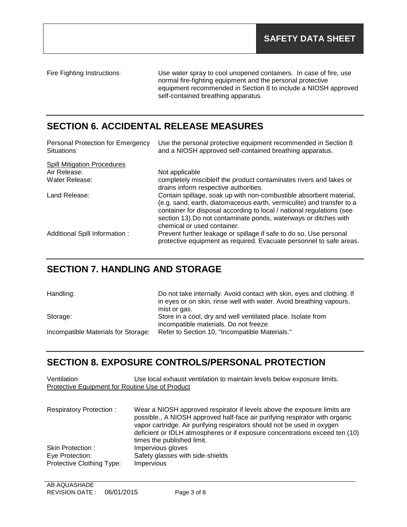Fire Fighting Instructions: Use water spray to cool unopened containers. In case of fire, use normal fire-fighting equipment and the personal protective equipment recommended in Section 8 to include a NIOSH approved self-contained breathing apparatus.

# **SECTION 6. ACCIDENTAL RELEASE MEASURES**

| Personal Protection for Emergency<br>Situations: | Use the personal protective equipment recommended in Section 8<br>and a NIOSH approved self-contained breathing apparatus.                                                                                                                                                                                              |
|--------------------------------------------------|-------------------------------------------------------------------------------------------------------------------------------------------------------------------------------------------------------------------------------------------------------------------------------------------------------------------------|
| <b>Spill Mitigation Procedures</b>               |                                                                                                                                                                                                                                                                                                                         |
| Air Release:                                     | Not applicable                                                                                                                                                                                                                                                                                                          |
| Water Release:                                   | completely miscible f the product contaminates rivers and lakes or<br>drains inform respective authorities.                                                                                                                                                                                                             |
| Land Release:                                    | Contain spillage, soak up with non-combustible absorbent material,<br>(e.g. sand, earth, diatomaceous earth, vermiculite) and transfer to a<br>container for disposal according to local / national regulations (see<br>section 13). Do not contaminate ponds, waterways or ditches with<br>chemical or used container. |
| Additional Spill Information :                   | Prevent further leakage or spillage if safe to do so. Use personal<br>protective equipment as required. Evacuate personnel to safe areas.                                                                                                                                                                               |

### **SECTION 7. HANDLING AND STORAGE**

| Handling:                           | Do not take internally. Avoid contact with skin, eyes and clothing. If<br>in eyes or on skin, rinse well with water. Avoid breathing vapours,<br>mist or gas. |
|-------------------------------------|---------------------------------------------------------------------------------------------------------------------------------------------------------------|
| Storage:                            | Store in a cool, dry and well ventilated place. Isolate from                                                                                                  |
|                                     | incompatible materials. Do not freeze.                                                                                                                        |
| Incompatible Materials for Storage: | Refer to Section 10, "Incompatible Materials."                                                                                                                |
|                                     |                                                                                                                                                               |

### **SECTION 8. EXPOSURE CONTROLS/PERSONAL PROTECTION**

| Ventilation:<br>Protective Equipment for Routine Use of Product  | Use local exhaust ventilation to maintain levels below exposure limits.                                                                                                                                                                                                                                                                         |
|------------------------------------------------------------------|-------------------------------------------------------------------------------------------------------------------------------------------------------------------------------------------------------------------------------------------------------------------------------------------------------------------------------------------------|
| <b>Respiratory Protection:</b>                                   | Wear a NIOSH approved respirator if levels above the exposure limits are<br>possible., A NIOSH approved half-face air purifying respirator with organic<br>vapor cartridge. Air purifying respirators should not be used in oxygen<br>deficient or IDLH atmospheres or if exposure concentrations exceed ten (10)<br>times the published limit. |
| Skin Protection:<br>Eye Protection:<br>Protective Clothing Type: | Impervious gloves<br>Safety glasses with side-shields<br><b>Impervious</b>                                                                                                                                                                                                                                                                      |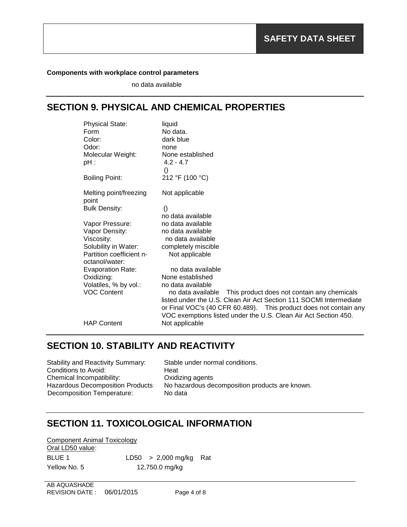#### **Components with workplace control parameters**

no data available

# **SECTION 9. PHYSICAL AND CHEMICAL PROPERTIES**

| <b>Physical State:</b>   | liquid                                                             |
|--------------------------|--------------------------------------------------------------------|
| Form                     | No data.                                                           |
| Color:                   | dark blue                                                          |
| Odor:                    | none                                                               |
| Molecular Weight:        | None established                                                   |
| pH :                     | $4.2 - 4.7$                                                        |
|                          | $\left( \right)$                                                   |
| <b>Boiling Point:</b>    | 212 °F (100 °C)                                                    |
| Melting point/freezing   | Not applicable                                                     |
| point                    |                                                                    |
| <b>Bulk Density:</b>     | $\left( \right)$                                                   |
|                          | no data available                                                  |
| Vapor Pressure:          | no data available                                                  |
| Vapor Density:           | no data available                                                  |
| Viscosity:               | no data available                                                  |
| Solubility in Water:     | completely miscible                                                |
| Partition coefficient n- | Not applicable                                                     |
| octanol/water:           |                                                                    |
| <b>Evaporation Rate:</b> | no data available                                                  |
| Oxidizing:               | None established                                                   |
| Volatiles, % by vol.:    | no data available                                                  |
| <b>VOC Content</b>       | This product does not contain any chemicals<br>no data available   |
|                          | listed under the U.S. Clean Air Act Section 111 SOCMI Intermediate |
|                          | or Final VOC's (40 CFR 60.489). This product does not contain any  |
|                          | VOC exemptions listed under the U.S. Clean Air Act Section 450.    |
| <b>HAP Content</b>       | Not applicable                                                     |
|                          |                                                                    |

### **SECTION 10. STABILITY AND REACTIVITY**

| Stability and Reactivity Summary: | Stable under normal conditions.                |
|-----------------------------------|------------------------------------------------|
| Conditions to Avoid:              | Heat                                           |
| Chemical Incompatibility:         | Oxidizing agents                               |
| Hazardous Decomposition Products: | No hazardous decomposition products are known. |
| Decomposition Temperature:        | No data                                        |
|                                   |                                                |

# **SECTION 11. TOXICOLOGICAL INFORMATION**

| Component Animal Toxicology |                          |  |
|-----------------------------|--------------------------|--|
| Oral LD50 value:            |                          |  |
| BLUE 1                      | $LD50 > 2,000$ mg/kg Rat |  |
| Yellow No. 5                | 12,750.0 mg/kg           |  |

AB AQUASHADE REVISION DATE : 06/01/2015 Page 4 of 8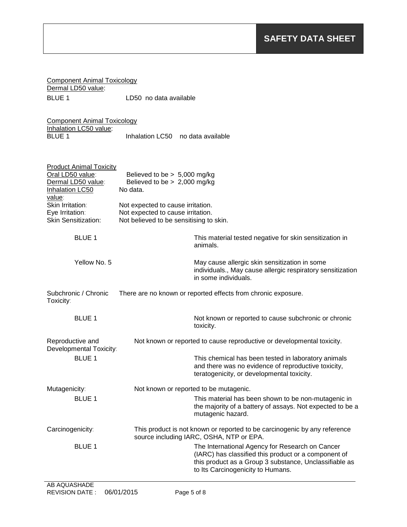| <b>Component Animal Toxicology</b><br>Dermal LD50 value:     |                                                                              |                                                                                                                                                                                                        |
|--------------------------------------------------------------|------------------------------------------------------------------------------|--------------------------------------------------------------------------------------------------------------------------------------------------------------------------------------------------------|
| <b>BLUE 1</b>                                                | LD50 no data available                                                       |                                                                                                                                                                                                        |
| <b>Component Animal Toxicology</b><br>Inhalation LC50 value: |                                                                              |                                                                                                                                                                                                        |
| <b>BLUE 1</b>                                                | Inhalation LC50                                                              | no data available                                                                                                                                                                                      |
| <b>Product Animal Toxicity</b><br>Oral LD50 value:           | Believed to be $> 5,000$ mg/kg                                               |                                                                                                                                                                                                        |
| Dermal LD50 value:<br>Inhalation LC50<br>value:              | Believed to be $> 2,000$ mg/kg<br>No data.                                   |                                                                                                                                                                                                        |
| Skin Irritation:                                             | Not expected to cause irritation.                                            |                                                                                                                                                                                                        |
| Eye Irritation:<br><b>Skin Sensitization:</b>                | Not expected to cause irritation.<br>Not believed to be sensitising to skin. |                                                                                                                                                                                                        |
| <b>BLUE 1</b>                                                |                                                                              | This material tested negative for skin sensitization in<br>animals.                                                                                                                                    |
| Yellow No. 5                                                 |                                                                              | May cause allergic skin sensitization in some<br>individuals., May cause allergic respiratory sensitization<br>in some individuals.                                                                    |
| Subchronic / Chronic<br>Toxicity:                            |                                                                              | There are no known or reported effects from chronic exposure.                                                                                                                                          |
| <b>BLUE 1</b>                                                |                                                                              | Not known or reported to cause subchronic or chronic<br>toxicity.                                                                                                                                      |
| Reproductive and<br>Developmental Toxicity:                  |                                                                              | Not known or reported to cause reproductive or developmental toxicity.                                                                                                                                 |
| <b>BLUE 1</b>                                                |                                                                              | This chemical has been tested in laboratory animals<br>and there was no evidence of reproductive toxicity,<br>teratogenicity, or developmental toxicity.                                               |
| Mutagenicity:                                                |                                                                              | Not known or reported to be mutagenic.                                                                                                                                                                 |
| <b>BLUE 1</b>                                                |                                                                              | This material has been shown to be non-mutagenic in<br>the majority of a battery of assays. Not expected to be a<br>mutagenic hazard.                                                                  |
| Carcinogenicity:                                             |                                                                              | This product is not known or reported to be carcinogenic by any reference<br>source including IARC, OSHA, NTP or EPA.                                                                                  |
| <b>BLUE 1</b>                                                |                                                                              | The International Agency for Research on Cancer<br>(IARC) has classified this product or a component of<br>this product as a Group 3 substance, Unclassifiable as<br>to Its Carcinogenicity to Humans. |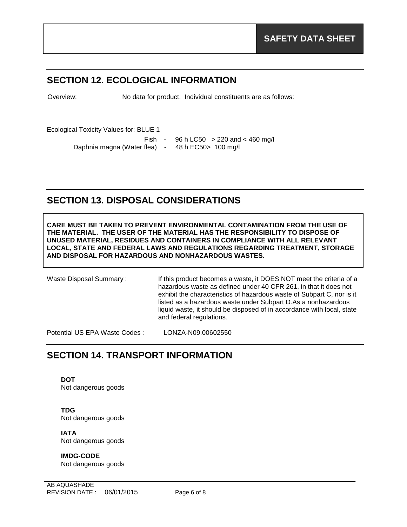# **SECTION 12. ECOLOGICAL INFORMATION**

Overview: No data for product. Individual constituents are as follows:

Ecological Toxicity Values for: BLUE 1

Daphnia magna (Water flea) - 48 h EC50 > 100 mg/l

Fish - 96 h LC50 > 220 and < 460 mg/l

# **SECTION 13. DISPOSAL CONSIDERATIONS**

**CARE MUST BE TAKEN TO PREVENT ENVIRONMENTAL CONTAMINATION FROM THE USE OF THE MATERIAL. THE USER OF THE MATERIAL HAS THE RESPONSIBILITY TO DISPOSE OF UNUSED MATERIAL, RESIDUES AND CONTAINERS IN COMPLIANCE WITH ALL RELEVANT LOCAL, STATE AND FEDERAL LAWS AND REGULATIONS REGARDING TREATMENT, STORAGE AND DISPOSAL FOR HAZARDOUS AND NONHAZARDOUS WASTES.** 

and federal regulations.

liquid waste, it should be disposed of in accordance with local, state

Waste Disposal Summary: If this product becomes a waste, it DOES NOT meet the criteria of a hazardous waste as defined under 40 CFR 261, in that it does not exhibit the characteristics of hazardous waste of Subpart C, nor is it listed as a hazardous waste under Subpart D.As a nonhazardous

Potential US EPA Waste Codes : LONZA-N09.00602550

### **SECTION 14. TRANSPORT INFORMATION**

**DOT** Not dangerous goods

**TDG** Not dangerous goods

**IATA** Not dangerous goods

**IMDG-CODE** Not dangerous goods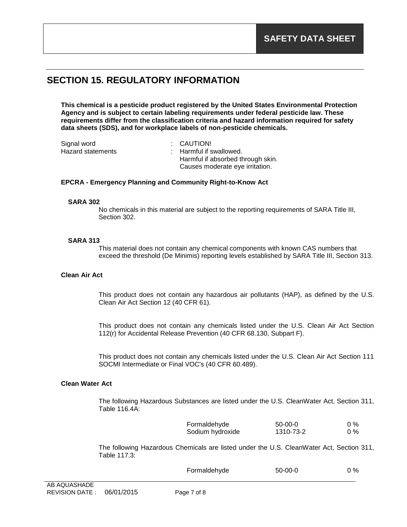# **SECTION 15. REGULATORY INFORMATION**

**This chemical is a pesticide product registered by the United States Environmental Protection Agency and is subject to certain labeling requirements under federal pesticide law. These requirements differ from the classification criteria and hazard information required for safety data sheets (SDS), and for workplace labels of non-pesticide chemicals.**

| Signal word       | : CAUTION!                        |  |
|-------------------|-----------------------------------|--|
| Hazard statements | : Harmful if swallowed.           |  |
|                   | Harmful if absorbed through skin. |  |
|                   | Causes moderate eye irritation.   |  |

#### **EPCRA - Emergency Planning and Community Right-to-Know Act**

#### **SARA 302**

No chemicals in this material are subject to the reporting requirements of SARA Title III, Section 302.

#### **SARA 313**

This material does not contain any chemical components with known CAS numbers that exceed the threshold (De Minimis) reporting levels established by SARA Title III, Section 313.

#### **Clean Air Act**

This product does not contain any hazardous air pollutants (HAP), as defined by the U.S. Clean Air Act Section 12 (40 CFR 61).

This product does not contain any chemicals listed under the U.S. Clean Air Act Section 112(r) for Accidental Release Prevention (40 CFR 68.130, Subpart F).

This product does not contain any chemicals listed under the U.S. Clean Air Act Section 111 SOCMI Intermediate or Final VOC's (40 CFR 60.489).

#### **Clean Water Act**

The following Hazardous Substances are listed under the U.S. CleanWater Act, Section 311, Table 116.4A:

| Formaldehyde     | $50-00-0$ | $0\%$ |
|------------------|-----------|-------|
| Sodium hydroxide | 1310-73-2 | $0\%$ |

The following Hazardous Chemicals are listed under the U.S. CleanWater Act, Section 311, Table 117.3:

| Formaldehyde | $50-00-0$ | $0\%$ |
|--------------|-----------|-------|
|--------------|-----------|-------|